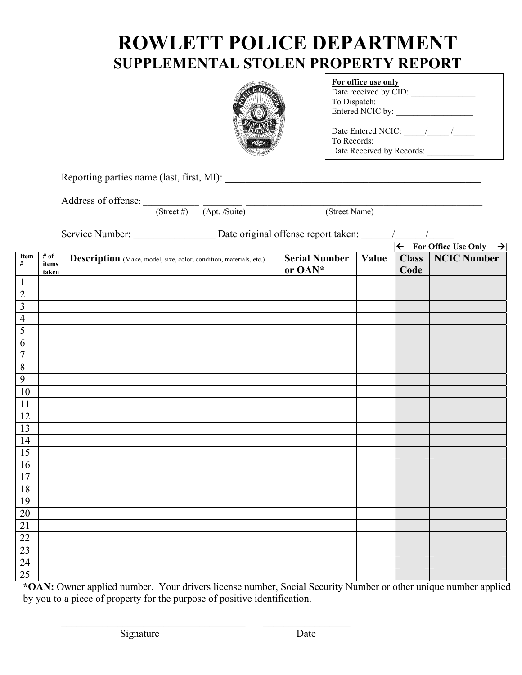## **ROWLETT POLICE DEPARTMENT SUPPLEMENTAL STOLEN PROPERTY REPORT**



| For office use only                                            |  |
|----------------------------------------------------------------|--|
| Date received by CID:                                          |  |
| To Dispatch:                                                   |  |
| Entered NCIC by:                                               |  |
| Date Entered NCIC:<br>To Records:<br>Date Received by Records: |  |

Reporting parties name (last, first, MI): \_\_\_\_\_\_\_\_\_\_\_\_\_\_\_\_\_\_\_\_\_\_\_\_\_\_\_\_\_\_\_\_\_\_\_\_\_\_\_\_\_\_\_\_\_\_\_\_\_\_

Address of offense:  $\frac{S_t}{S_t}$  (Street #)  $\frac{1}{(Apt. /Suite)}$ 

(Street Name)

Service Number:  $\Box$  Date original offense report taken:  $\Box$ 

|                         |                        | $\frac{1}{2}$ but the theory.                                      |                                 |       | $\left \leftarrow\right.$ For <u>Office Use Only <math>\rightarrow</math></u> |                    |
|-------------------------|------------------------|--------------------------------------------------------------------|---------------------------------|-------|-------------------------------------------------------------------------------|--------------------|
| Item<br>$\#$            | # of<br>items<br>taken | Description (Make, model, size, color, condition, materials, etc.) | <b>Serial Number</b><br>or OAN* | Value | <b>Class</b><br>Code                                                          | <b>NCIC Number</b> |
| $\mathbf{1}$            |                        |                                                                    |                                 |       |                                                                               |                    |
| $\overline{2}$          |                        |                                                                    |                                 |       |                                                                               |                    |
| $\overline{\mathbf{3}}$ |                        |                                                                    |                                 |       |                                                                               |                    |
| $\overline{4}$          |                        |                                                                    |                                 |       |                                                                               |                    |
| $\overline{5}$          |                        |                                                                    |                                 |       |                                                                               |                    |
| $\sqrt{6}$              |                        |                                                                    |                                 |       |                                                                               |                    |
| $\overline{7}$          |                        |                                                                    |                                 |       |                                                                               |                    |
| $\overline{8}$          |                        |                                                                    |                                 |       |                                                                               |                    |
| $\overline{9}$          |                        |                                                                    |                                 |       |                                                                               |                    |
| $10\,$                  |                        |                                                                    |                                 |       |                                                                               |                    |
| 11                      |                        |                                                                    |                                 |       |                                                                               |                    |
| 12                      |                        |                                                                    |                                 |       |                                                                               |                    |
| $\overline{13}$         |                        |                                                                    |                                 |       |                                                                               |                    |
| 14                      |                        |                                                                    |                                 |       |                                                                               |                    |
| 15                      |                        |                                                                    |                                 |       |                                                                               |                    |
| 16                      |                        |                                                                    |                                 |       |                                                                               |                    |
| $17\,$                  |                        |                                                                    |                                 |       |                                                                               |                    |
| 18                      |                        |                                                                    |                                 |       |                                                                               |                    |
| 19                      |                        |                                                                    |                                 |       |                                                                               |                    |
| $20\,$                  |                        |                                                                    |                                 |       |                                                                               |                    |
| $\overline{21}$         |                        |                                                                    |                                 |       |                                                                               |                    |
| $\overline{22}$         |                        |                                                                    |                                 |       |                                                                               |                    |
| $\overline{23}$         |                        |                                                                    |                                 |       |                                                                               |                    |
| $\overline{24}$         |                        |                                                                    |                                 |       |                                                                               |                    |
| $\overline{25}$         |                        |                                                                    |                                 |       |                                                                               |                    |

**\*OAN:** Owner applied number. Your drivers license number, Social Security Number or other unique number applied by you to a piece of property for the purpose of positive identification.

 $\_$  , and the set of the set of the set of the set of the set of the set of the set of the set of the set of the set of the set of the set of the set of the set of the set of the set of the set of the set of the set of th